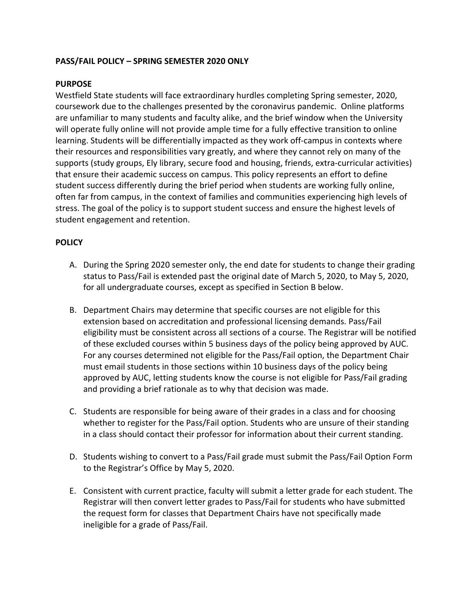## **PASS/FAIL POLICY - SPRING SEMESTER 2020 ONLY**

## **PURPOSE**

Westfield State students will face extraordinary hurdles completing Spring semester, 2020, coursework due to the challenges presented by the coronavirus pandemic. Online platforms are unfamiliar to many students and faculty alike, and the brief window when the University will operate fully online will not provide ample time for a fully effective transition to online learning. Students will be differentially impacted as they work off-campus in contexts where their resources and responsibilities vary greatly, and where they cannot rely on many of the supports (study groups, Ely library, secure food and housing, friends, extra-curricular activities) that ensure their academic success on campus. This policy represents an effort to define student success differently during the brief period when students are working fully online, often far from campus, in the context of families and communities experiencing high levels of stress. The goal of the policy is to support student success and ensure the highest levels of student engagement and retention.

## **POLICY**

- A. During the Spring 2020 semester only, the end date for students to change their grading status to Pass/Fail is extended past the original date of March 5, 2020, to May 5, 2020, for all undergraduate courses, except as specified in Section B below.
- B. Department Chairs may determine that specific courses are not eligible for this extension based on accreditation and professional licensing demands. Pass/Fail eligibility must be consistent across all sections of a course. The Registrar will be notified of these excluded courses within 5 business days of the policy being approved by AUC. For any courses determined not eligible for the Pass/Fail option, the Department Chair must email students in those sections within 10 business days of the policy being approved by AUC, letting students know the course is not eligible for Pass/Fail grading and providing a brief rationale as to why that decision was made.
- C. Students are responsible for being aware of their grades in a class and for choosing whether to register for the Pass/Fail option. Students who are unsure of their standing in a class should contact their professor for information about their current standing.
- D. Students wishing to convert to a Pass/Fail grade must submit the Pass/Fail Option Form to the Registrar's Office by May 5, 2020.
- E. Consistent with current practice, faculty will submit a letter grade for each student. The Registrar will then convert letter grades to Pass/Fail for students who have submitted the request form for classes that Department Chairs have not specifically made ineligible for a grade of Pass/Fail.